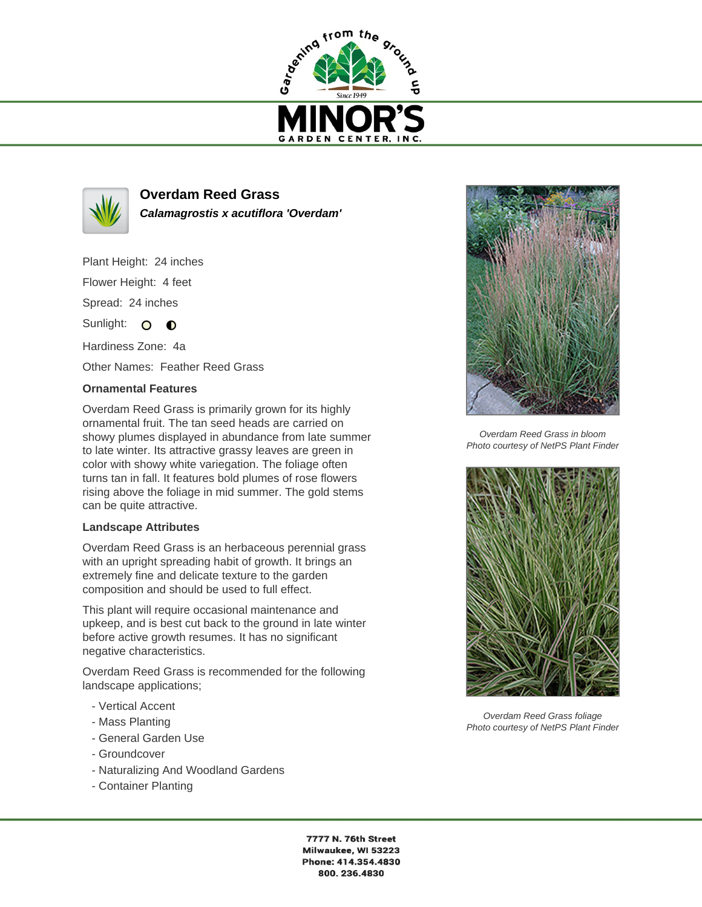



**Overdam Reed Grass Calamagrostis x acutiflora 'Overdam'**

Plant Height: 24 inches Flower Height: 4 feet Spread: 24 inches

Sunlight: O O

Hardiness Zone: 4a Other Names: Feather Reed Grass

## **Ornamental Features**

Overdam Reed Grass is primarily grown for its highly ornamental fruit. The tan seed heads are carried on showy plumes displayed in abundance from late summer to late winter. Its attractive grassy leaves are green in color with showy white variegation. The foliage often turns tan in fall. It features bold plumes of rose flowers rising above the foliage in mid summer. The gold stems can be quite attractive.

## **Landscape Attributes**

Overdam Reed Grass is an herbaceous perennial grass with an upright spreading habit of growth. It brings an extremely fine and delicate texture to the garden composition and should be used to full effect.

This plant will require occasional maintenance and upkeep, and is best cut back to the ground in late winter before active growth resumes. It has no significant negative characteristics.

Overdam Reed Grass is recommended for the following landscape applications;

- Vertical Accent
- Mass Planting
- General Garden Use
- Groundcover
- Naturalizing And Woodland Gardens
- Container Planting



Overdam Reed Grass in bloom Photo courtesy of NetPS Plant Finder



Overdam Reed Grass foliage Photo courtesy of NetPS Plant Finder

7777 N. 76th Street Milwaukee, WI 53223 Phone: 414.354.4830 800.236.4830